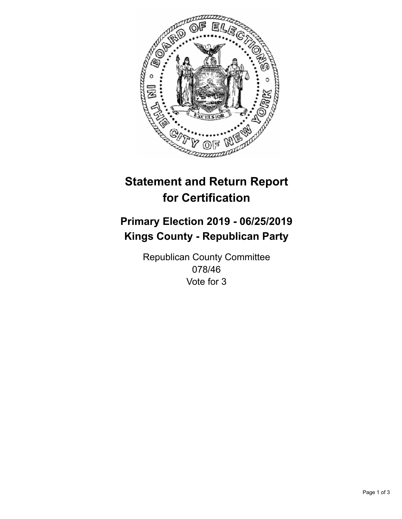

## **Statement and Return Report for Certification**

## **Primary Election 2019 - 06/25/2019 Kings County - Republican Party**

Republican County Committee 078/46 Vote for 3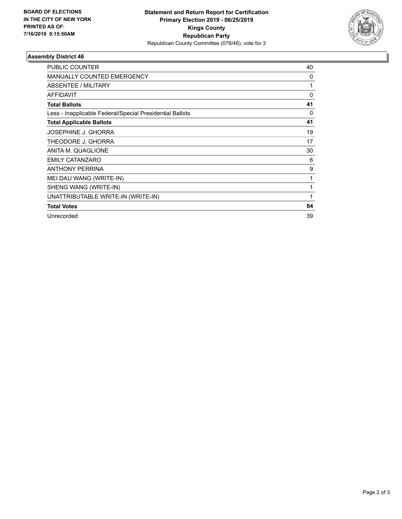

## **Assembly District 46**

| <b>PUBLIC COUNTER</b>                                    | 40 |
|----------------------------------------------------------|----|
| <b>MANUALLY COUNTED EMERGENCY</b>                        | 0  |
| ABSENTEE / MILITARY                                      | 1  |
| <b>AFFIDAVIT</b>                                         | 0  |
| <b>Total Ballots</b>                                     | 41 |
| Less - Inapplicable Federal/Special Presidential Ballots | 0  |
| <b>Total Applicable Ballots</b>                          | 41 |
| <b>JOSEPHINE J. GHORRA</b>                               | 19 |
| THEODORE J. GHORRA                                       | 17 |
| ANITA M. QUAGLIONE                                       | 30 |
| <b>EMILY CATANZARO</b>                                   | 6  |
| <b>ANTHONY PERRINA</b>                                   | 9  |
| MEI DAU WANG (WRITE-IN)                                  | 1  |
| SHENG WANG (WRITE-IN)                                    | 1  |
| UNATTRIBUTABLE WRITE-IN (WRITE-IN)                       | 1  |
| <b>Total Votes</b>                                       | 84 |
| Unrecorded                                               | 39 |